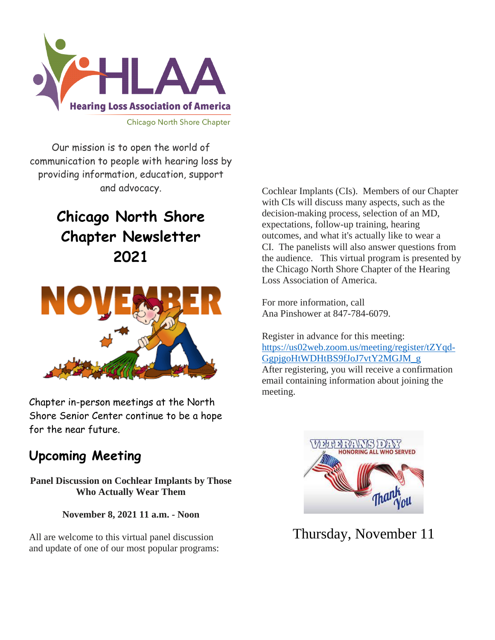

Our mission is to open the world of communication to people with hearing loss by providing information, education, support and advocacy.

# **Chicago North Shore Chapter Newsletter 2021**



Chapter in-person meetings at the North Shore Senior Center continue to be a hope for the near future.

# **Upcoming Meeting**

**Panel Discussion on Cochlear Implants by Those Who Actually Wear Them**

**November 8, 2021 11 a.m. - Noon**

All are welcome to this virtual panel discussion and update of one of our most popular programs:

Cochlear Implants (CIs). Members of our Chapter with CIs will discuss many aspects, such as the decision-making process, selection of an MD, expectations, follow-up training, hearing outcomes, and what it's actually like to wear a CI. The panelists will also answer questions from the audience. This virtual program is presented by the Chicago North Shore Chapter of the Hearing Loss Association of America.

For more information, call Ana Pinshower at 847-784-6079.

Register in advance for this meeting: [https://us02web.zoom.us/meeting/register/tZYqd-](https://us02web.zoom.us/meeting/register/tZYqd-GgpjgoHtWDHtBS9fJoJ7vtY2MGJM_g)[GgpjgoHtWDHtBS9fJoJ7vtY2MGJM\\_g](https://us02web.zoom.us/meeting/register/tZYqd-GgpjgoHtWDHtBS9fJoJ7vtY2MGJM_g) 

After registering, you will receive a confirmation email containing information about joining the meeting.



Thursday, November 11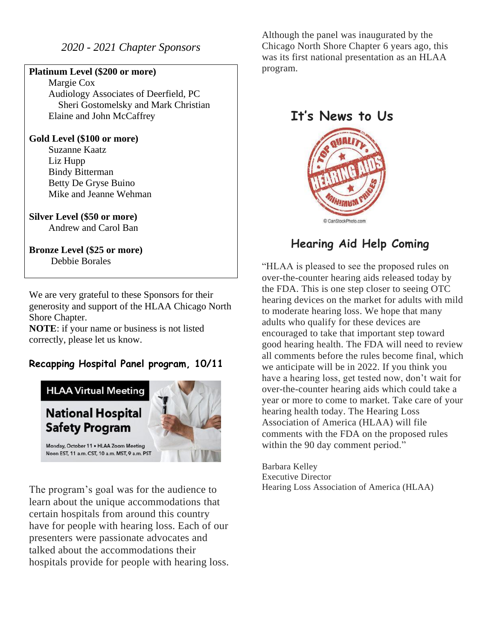#### *2020 - 2021 Chapter Sponsors*

#### **Platinum Level (\$200 or more)**

 Margie Cox Audiology Associates of Deerfield, PC Sheri Gostomelsky and Mark Christian Elaine and John McCaffrey

#### **Gold Level (\$100 or more)**

 Suzanne Kaatz Liz Hupp Bindy Bitterman Betty De Gryse Buino Mike and Jeanne Wehman

### **Silver Level (\$50 or more)**

Andrew and Carol Ban

#### **Bronze Level (\$25 or more)** Debbie Borales

We are very grateful to these Sponsors for their generosity and support of the HLAA Chicago North Shore Chapter.

**NOTE**: if your name or business is not listed correctly, please let us know.

### **Recapping Hospital Panel program, 10/11**



The program's goal was for the audience to learn about the unique accommodations that certain hospitals from around this country have for people with hearing loss. Each of our presenters were passionate advocates and talked about the accommodations their hospitals provide for people with hearing loss. Although the panel was inaugurated by the Chicago North Shore Chapter 6 years ago, this was its first national presentation as an HLAA program.

### **It's News to Us**



# **Hearing Aid Help Coming**

"HLAA is pleased to see the proposed rules on over-the-counter hearing aids released today by the FDA. This is one step closer to seeing OTC hearing devices on the market for adults with mild to moderate hearing loss. We hope that many adults who qualify for these devices are encouraged to take that important step toward good hearing health. The FDA will need to review all comments before the rules become final, which we anticipate will be in 2022. If you think you have a hearing loss, get tested now, don't wait for over-the-counter hearing aids which could take a year or more to come to market. Take care of your hearing health today. The Hearing Loss Association of America (HLAA) will file comments with the FDA on the proposed rules within the 90 day comment period."

Barbara Kelley Executive Director Hearing Loss Association of America (HLAA)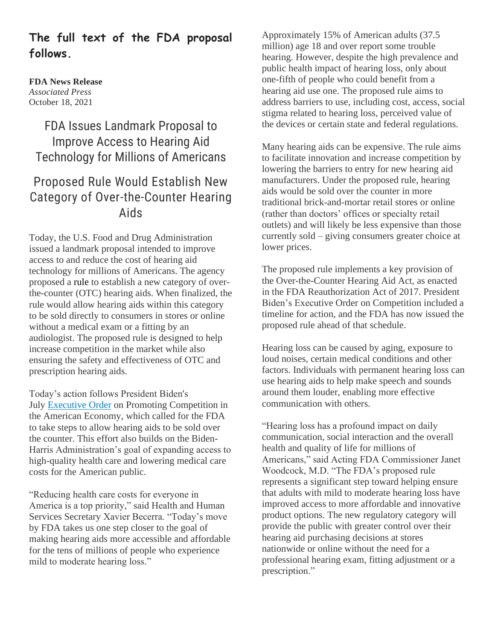### **The full text of the FDA proposal follows.**

#### **FDA News Release** *Associated Press* October 18, 2021

# FDA Issues Landmark Proposal to Improve Access to Hearing Aid Technology for Millions of Americans

# Proposed Rule Would Establish New Category of Over-the-Counter Hearing Aids

Today, the U.S. Food and Drug Administration issued a landmark proposal intended to improve access to and reduce the cost of hearing aid technology for millions of Americans. The agency proposed a [rule](https://www.federalregister.gov/public-inspection/2021-22473/medical-devices-ear-nose-and-throat-devices-establishing-over-the-counter-hearing-aids) to establish a new category of overthe-counter (OTC) hearing aids. When finalized, the rule would allow hearing aids within this category to be sold directly to consumers in stores or online without a medical exam or a fitting by an audiologist. The proposed rule is designed to help increase competition in the market while also ensuring the safety and effectiveness of OTC and prescription hearing aids.

Today's action follows President Biden's July [Executive Order](https://www.whitehouse.gov/briefing-room/presidential-actions/2021/07/09/executive-order-on-promoting-competition-in-the-american-economy/) on Promoting Competition in the American Economy, which called for the FDA to take steps to allow hearing aids to be sold over the counter. This effort also builds on the Biden-Harris Administration's goal of expanding access to high-quality health care and lowering medical care costs for the American public.

"Reducing health care costs for everyone in America is a top priority," said Health and Human Services Secretary Xavier Becerra. "Today's move by FDA takes us one step closer to the goal of making hearing aids more accessible and affordable for the tens of millions of people who experience mild to moderate hearing loss."

Approximately 15% of American adults (37.5 million) age 18 and over report some trouble hearing. However, despite the high prevalence and public health impact of hearing loss, only about one-fifth of people who could benefit from a hearing aid use one. The proposed rule aims to address barriers to use, including cost, access, social stigma related to hearing loss, perceived value of the devices or certain state and federal regulations.

Many hearing aids can be expensive. The rule aims to facilitate innovation and increase competition by lowering the barriers to entry for new hearing aid manufacturers. Under the proposed rule, hearing aids would be sold over the counter in more traditional brick-and-mortar retail stores or online (rather than doctors' offices or specialty retail outlets) and will likely be less expensive than those currently sold – giving consumers greater choice at lower prices.

The proposed rule implements a key provision of the Over-the-Counter Hearing Aid Act, as enacted in the FDA Reauthorization Act of 2017. President Biden's Executive Order on Competition included a timeline for action, and the FDA has now issued the proposed rule ahead of that schedule.

Hearing loss can be caused by aging, exposure to loud noises, certain medical conditions and other factors. Individuals with permanent hearing loss can use hearing aids to help make speech and sounds around them louder, enabling more effective communication with others.

"Hearing loss has a profound impact on daily communication, social interaction and the overall health and quality of life for millions of Americans," said Acting FDA Commissioner Janet Woodcock, M.D. "The FDA's proposed rule represents a significant step toward helping ensure that adults with mild to moderate hearing loss have improved access to more affordable and innovative product options. The new regulatory category will provide the public with greater control over their hearing aid purchasing decisions at stores nationwide or online without the need for a professional hearing exam, fitting adjustment or a prescription."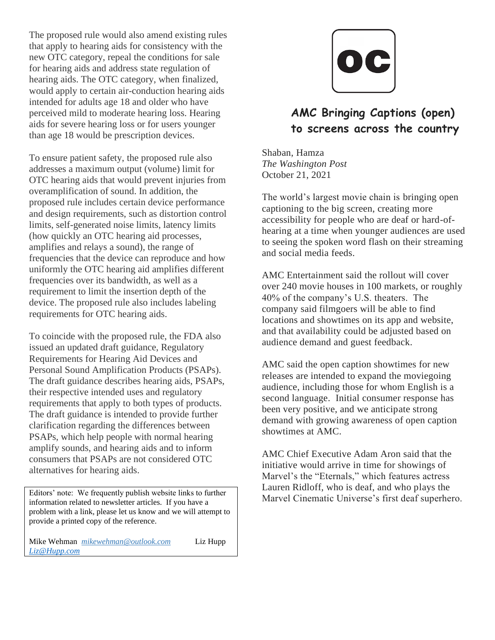The proposed rule would also amend existing rules that apply to hearing aids for consistency with the new OTC category, repeal the conditions for sale for hearing aids and address state regulation of hearing aids. The OTC category, when finalized, would apply to certain air-conduction hearing aids intended for adults age 18 and older who have perceived mild to moderate hearing loss. Hearing aids for severe hearing loss or for users younger than age 18 would be prescription devices.

To ensure patient safety, the proposed rule also addresses a maximum output (volume) limit for OTC hearing aids that would prevent injuries from overamplification of sound. In addition, the proposed rule includes certain device performance and design requirements, such as distortion control limits, self-generated noise limits, latency limits (how quickly an OTC hearing aid processes, amplifies and relays a sound), the range of frequencies that the device can reproduce and how uniformly the OTC hearing aid amplifies different frequencies over its bandwidth, as well as a requirement to limit the insertion depth of the device. The proposed rule also includes labeling requirements for OTC hearing aids.

To coincide with the proposed rule, the FDA also issued an updated draft guidance, Regulatory Requirements for Hearing Aid Devices and Personal Sound Amplification Products (PSAPs). The draft guidance describes hearing aids, PSAPs, their respective intended uses and regulatory requirements that apply to both types of products. The draft guidance is intended to provide further clarification regarding the differences between PSAPs, which help people with normal hearing amplify sounds, and hearing aids and to inform consumers that PSAPs are not considered OTC alternatives for hearing aids.

Editors' note: We frequently publish website links to further information related to newsletter articles. If you have a problem with a link, please let us know and we will attempt to provide a printed copy of the reference.

Mike Wehman *mikewehman@outlook.com* Liz Hupp *Liz@Hupp.com*



## **AMC Bringing Captions (open) to screens across the country**

Shaban, Hamza *The Washington Post* October 21, 2021

The world's largest movie chain is bringing open captioning to the big screen, creating more accessibility for people who are deaf or hard-ofhearing at a time when younger audiences are used to seeing the spoken word flash on their streaming and social media feeds.

AMC Entertainment said the rollout will cover over 240 movie houses in 100 markets, or roughly 40% of the company's U.S. theaters. The company said filmgoers will be able to find locations and showtimes on its app and website, and that availability could be adjusted based on audience demand and guest feedback.

AMC said the open caption showtimes for new releases are intended to expand the moviegoing audience, including those for whom English is a second language. Initial consumer response has been very positive, and we anticipate strong demand with growing awareness of open caption showtimes at AMC.

AMC Chief Executive Adam Aron said that the initiative would arrive in time for showings of Marvel's the "Eternals," which features actress Lauren Ridloff, who is deaf, and who plays the Marvel Cinematic Universe's first deaf superhero.